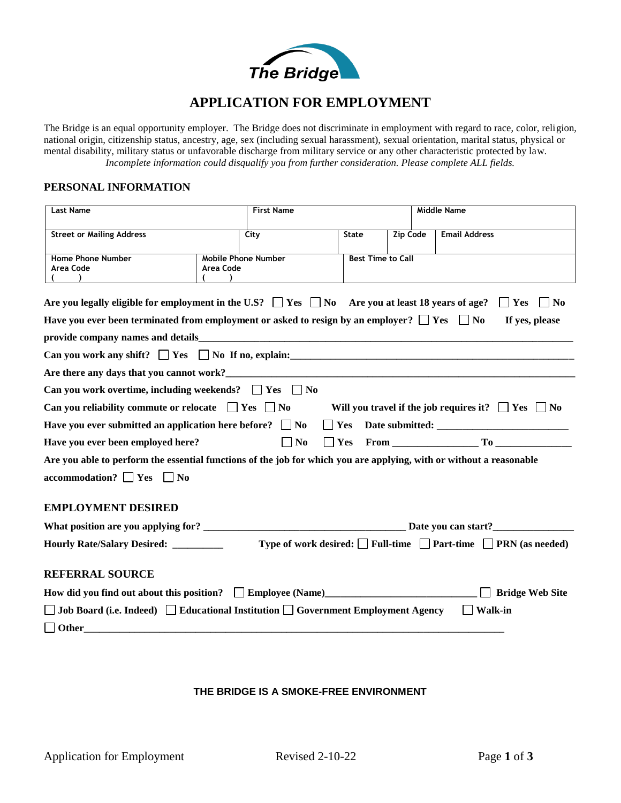

## **APPLICATION FOR EMPLOYMENT**

The Bridge is an equal opportunity employer. The Bridge does not discriminate in employment with regard to race, color, religion, national origin, citizenship status, ancestry, age, sex (including sexual harassment), sexual orientation, marital status, physical or mental disability, military status or unfavorable discharge from military service or any other characteristic protected by law. *Incomplete information could disqualify you from further consideration. Please complete ALL fields.*

### **PERSONAL INFORMATION**

| <b>Last Name</b>                                                                                                                                                                                                    | <b>First Name</b>          |              | <b>Middle Name</b>       |                 |                                                              |
|---------------------------------------------------------------------------------------------------------------------------------------------------------------------------------------------------------------------|----------------------------|--------------|--------------------------|-----------------|--------------------------------------------------------------|
| <b>Street or Mailing Address</b><br>City                                                                                                                                                                            |                            | <b>State</b> |                          | <b>Zip Code</b> | <b>Email Address</b>                                         |
| <b>Home Phone Number</b>                                                                                                                                                                                            | <b>Mobile Phone Number</b> |              | <b>Best Time to Call</b> |                 |                                                              |
| Area Code                                                                                                                                                                                                           | Area Code                  |              |                          |                 |                                                              |
| $\lambda$                                                                                                                                                                                                           |                            |              |                          |                 |                                                              |
| Are you legally eligible for employment in the U.S? $\Box$ Yes $\Box$ No Are you at least 18 years of age?<br>Have you ever been terminated from employment or asked to resign by an employer? $\Box$ Yes $\Box$ No |                            |              |                          |                 | $\Box$ Yes $\Box$ No<br>If yes, please                       |
|                                                                                                                                                                                                                     |                            |              |                          |                 |                                                              |
| Can you work any shift? $\Box$ Yes $\Box$ No If no, explain:                                                                                                                                                        |                            |              |                          |                 |                                                              |
| Are there any days that you cannot work?                                                                                                                                                                            |                            |              |                          |                 |                                                              |
| Can you work overtime, including weekends? $\Box$ Yes $\Box$ No                                                                                                                                                     |                            |              |                          |                 |                                                              |
| Can you reliability commute or relocate $\Box$ Yes $\Box$ No                                                                                                                                                        |                            |              |                          |                 | Will you travel if the job requires it? $\Box$ Yes $\Box$ No |
| Have you ever submitted an application here before? $\Box$ No $\Box$ Yes Date submitted:                                                                                                                            |                            |              |                          |                 |                                                              |
| $\Box$ No<br>Have you ever been employed here?                                                                                                                                                                      |                            |              |                          |                 |                                                              |
| Are you able to perform the essential functions of the job for which you are applying, with or without a reasonable                                                                                                 |                            |              |                          |                 |                                                              |
| $\alpha$ ccommodation? $\Box$ Yes $\Box$ No                                                                                                                                                                         |                            |              |                          |                 |                                                              |
| <b>EMPLOYMENT DESIRED</b>                                                                                                                                                                                           |                            |              |                          |                 |                                                              |
|                                                                                                                                                                                                                     |                            |              |                          |                 |                                                              |
| Type of work desired: $\Box$ Full-time $\Box$ Part-time $\Box$ PRN (as needed)<br>Hourly Rate/Salary Desired: _________                                                                                             |                            |              |                          |                 |                                                              |
| <b>REFERRAL SOURCE</b>                                                                                                                                                                                              |                            |              |                          |                 |                                                              |
| How did you find out about this position?<br>$\Box$ Employee (Name)<br><u>Letting</u><br><b>Bridge Web Site</b>                                                                                                     |                            |              |                          |                 |                                                              |
| <b>Solution</b> Job Board (i.e. Indeed) <b>Solutional Institution</b> Government Employment Agency<br><b>Walk-in</b>                                                                                                |                            |              |                          |                 |                                                              |
| $\Box$ Other                                                                                                                                                                                                        |                            |              |                          |                 |                                                              |

### **THE BRIDGE IS A SMOKE-FREE ENVIRONMENT**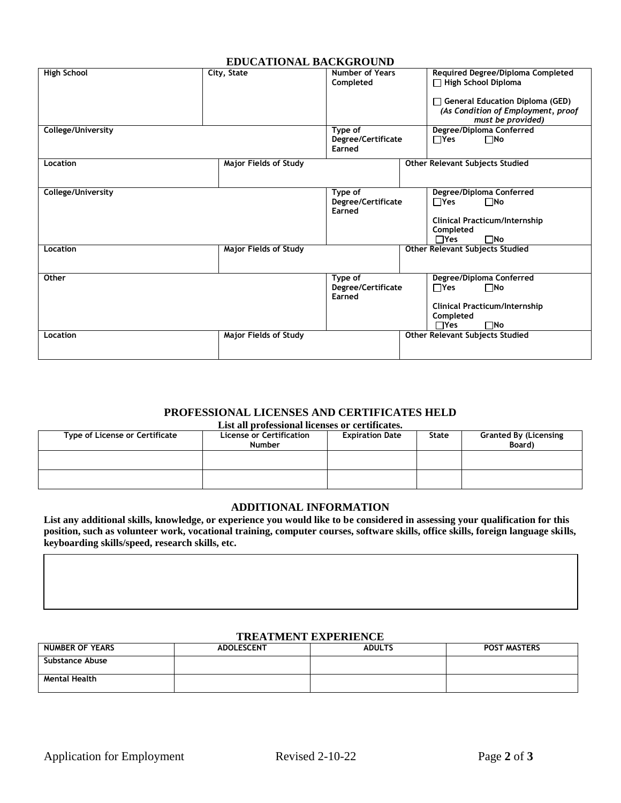|                           | EDUCATIONAL DACKGROUND       |                        |                                        |
|---------------------------|------------------------------|------------------------|----------------------------------------|
| High School               | City, State                  | <b>Number of Years</b> | Required Degree/Diploma Completed      |
|                           |                              | Completed              | High School Diploma                    |
|                           |                              |                        |                                        |
|                           |                              |                        | $\Box$ General Education Diploma (GED) |
|                           |                              |                        | (As Condition of Employment, proof     |
|                           |                              |                        | must be provided)                      |
| <b>College/University</b> |                              | Type of                | Degree/Diploma Conferred               |
|                           |                              | Degree/Certificate     | $\Box$ Yes<br>$\square$ No             |
|                           |                              | Earned                 |                                        |
| Location                  | <b>Major Fields of Study</b> |                        | <b>Other Relevant Subjects Studied</b> |
|                           |                              |                        |                                        |
|                           |                              |                        |                                        |
| <b>College/University</b> |                              | Type of                | Degree/Diploma Conferred               |
|                           |                              | Degree/Certificate     | $\Box$ Yes<br>$\square$ No             |
|                           |                              | Earned                 |                                        |
|                           |                              |                        | Clinical Practicum/Internship          |
|                           |                              |                        | Completed                              |
|                           |                              |                        | $\Box$ Yes<br>$\square$ No             |
| Location                  | <b>Major Fields of Study</b> |                        | <b>Other Relevant Subjects Studied</b> |
|                           |                              |                        |                                        |
|                           |                              |                        |                                        |
| Other                     |                              | Type of                | Degree/Diploma Conferred               |
|                           |                              | Degree/Certificate     | $\Box$ Yes<br>$\square$ No             |
|                           |                              | Earned                 |                                        |
|                           |                              |                        | <b>Clinical Practicum/Internship</b>   |
|                           |                              |                        | Completed                              |
|                           |                              |                        | $\Box$ Yes<br>$\square$ No             |
| Location                  | <b>Major Fields of Study</b> |                        | <b>Other Relevant Subjects Studied</b> |
|                           |                              |                        |                                        |
|                           |                              |                        |                                        |

### **EDUCATIONAL BACKGROUND**

### **PROFESSIONAL LICENSES AND CERTIFICATES HELD**

**List all professional licenses or certificates.**

| <b>Type of License or Certificate</b> | License or Certification<br><b>Number</b> | <b>Expiration Date</b> | <b>State</b> | <b>Granted By (Licensing</b><br>Board) |
|---------------------------------------|-------------------------------------------|------------------------|--------------|----------------------------------------|
|                                       |                                           |                        |              |                                        |
|                                       |                                           |                        |              |                                        |

### **ADDITIONAL INFORMATION**

**List any additional skills, knowledge, or experience you would like to be considered in assessing your qualification for this position, such as volunteer work, vocational training, computer courses, software skills, office skills, foreign language skills, keyboarding skills/speed, research skills, etc.**

### **TREATMENT EXPERIENCE**

| <b>NUMBER OF YEARS</b> | <b>ADOLESCENT</b> | <b>ADULTS</b> | <b>POST MASTERS</b> |
|------------------------|-------------------|---------------|---------------------|
| Substance Abuse        |                   |               |                     |
| Mental Health          |                   |               |                     |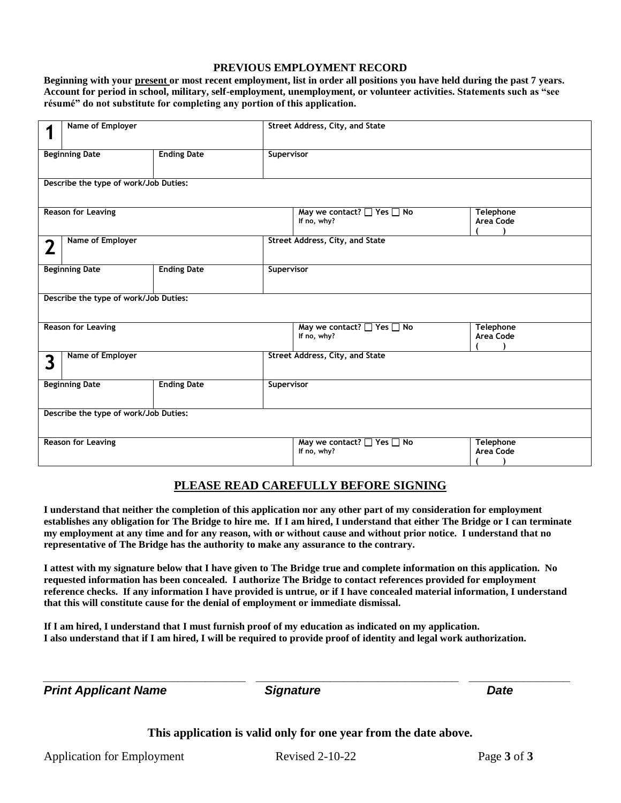#### **PREVIOUS EMPLOYMENT RECORD**

**Beginning with your present or most recent employment, list in order all positions you have held during the past 7 years. Account for period in school, military, self-employment, unemployment, or volunteer activities. Statements such as "see résumé" do not substitute for completing any portion of this application.**

| А                                     | Name of Employer                      |                    | Street Address, City, and State        |                                                     |                               |  |
|---------------------------------------|---------------------------------------|--------------------|----------------------------------------|-----------------------------------------------------|-------------------------------|--|
|                                       | <b>Beginning Date</b>                 | <b>Ending Date</b> |                                        | Supervisor                                          |                               |  |
|                                       | Describe the type of work/Job Duties: |                    |                                        |                                                     |                               |  |
|                                       | <b>Reason for Leaving</b>             |                    |                                        | May we contact? $\Box$ Yes $\Box$ No<br>If no, why? | Telephone<br>Area Code        |  |
| $\overline{2}$                        | Name of Employer                      |                    | <b>Street Address, City, and State</b> |                                                     |                               |  |
|                                       | <b>Beginning Date</b>                 | <b>Ending Date</b> | Supervisor                             |                                                     |                               |  |
| Describe the type of work/Job Duties: |                                       |                    |                                        |                                                     |                               |  |
|                                       | <b>Reason for Leaving</b>             |                    |                                        | May we contact? $\Box$ Yes $\Box$ No<br>If no, why? | <b>Telephone</b><br>Area Code |  |
| $\overline{\mathbf{3}}$               | Name of Employer                      |                    | Street Address, City, and State        |                                                     |                               |  |
|                                       | <b>Beginning Date</b>                 | <b>Ending Date</b> | Supervisor                             |                                                     |                               |  |
|                                       | Describe the type of work/Job Duties: |                    |                                        |                                                     |                               |  |
|                                       | <b>Reason for Leaving</b>             |                    |                                        | May we contact? $\Box$ Yes $\Box$ No<br>If no, why? | <b>Telephone</b><br>Area Code |  |

### **PLEASE READ CAREFULLY BEFORE SIGNING**

**I understand that neither the completion of this application nor any other part of my consideration for employment establishes any obligation for The Bridge to hire me. If I am hired, I understand that either The Bridge or I can terminate my employment at any time and for any reason, with or without cause and without prior notice. I understand that no representative of The Bridge has the authority to make any assurance to the contrary.**

**I attest with my signature below that I have given to The Bridge true and complete information on this application. No requested information has been concealed. I authorize The Bridge to contact references provided for employment reference checks. If any information I have provided is untrue, or if I have concealed material information, I understand that this will constitute cause for the denial of employment or immediate dismissal.**

**If I am hired, I understand that I must furnish proof of my education as indicated on my application. I also understand that if I am hired, I will be required to provide proof of identity and legal work authorization.**

**Print Applicant Name Signature Construction Construction Construction Construction Construction Construction Construction Construction Construction Construction Construction Construction Construction Construction Construc** 

**This application is valid only for one year from the date above.**

*\_\_\_\_\_\_\_\_\_\_\_\_\_\_\_\_\_\_\_\_\_\_\_\_\_\_\_\_\_\_ \_\_\_\_\_\_\_\_\_\_\_\_\_\_\_\_\_\_\_\_\_\_\_\_\_\_\_\_\_\_ \_\_\_\_\_\_\_\_\_\_\_\_\_\_\_*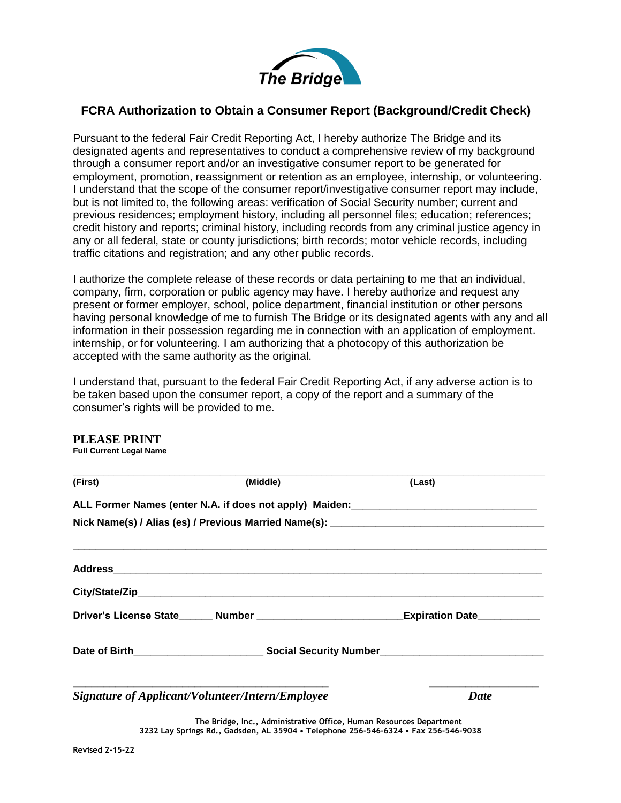

### **FCRA Authorization to Obtain a Consumer Report (Background/Credit Check)**

Pursuant to the federal Fair Credit Reporting Act, I hereby authorize The Bridge and its designated agents and representatives to conduct a comprehensive review of my background through a consumer report and/or an investigative consumer report to be generated for employment, promotion, reassignment or retention as an employee, internship, or volunteering. I understand that the scope of the consumer report/investigative consumer report may include, but is not limited to, the following areas: verification of Social Security number; current and previous residences; employment history, including all personnel files; education; references; credit history and reports; criminal history, including records from any criminal justice agency in any or all federal, state or county jurisdictions; birth records; motor vehicle records, including traffic citations and registration; and any other public records.

I authorize the complete release of these records or data pertaining to me that an individual, company, firm, corporation or public agency may have. I hereby authorize and request any present or former employer, school, police department, financial institution or other persons having personal knowledge of me to furnish The Bridge or its designated agents with any and all information in their possession regarding me in connection with an application of employment. internship, or for volunteering. I am authorizing that a photocopy of this authorization be accepted with the same authority as the original.

I understand that, pursuant to the federal Fair Credit Reporting Act, if any adverse action is to be taken based upon the consumer report, a copy of the report and a summary of the consumer's rights will be provided to me.

### **PLEASE PRINT**

**Full Current Legal Name**

| Nick Name(s) / Alias (es) / Previous Married Name(s): ___________________________             |      |
|-----------------------------------------------------------------------------------------------|------|
|                                                                                               |      |
|                                                                                               |      |
|                                                                                               |      |
|                                                                                               |      |
|                                                                                               |      |
| Driver's License State_______ Number ______________________________Expiration Date___________ |      |
|                                                                                               |      |
| Signature of Applicant/Volunteer/Intern/Employee                                              | Date |

**The Bridge, Inc., Administrative Office, Human Resources Department 3232 Lay Springs Rd., Gadsden, AL 35904 • Telephone 256-546-6324 • Fax 256-546-9038**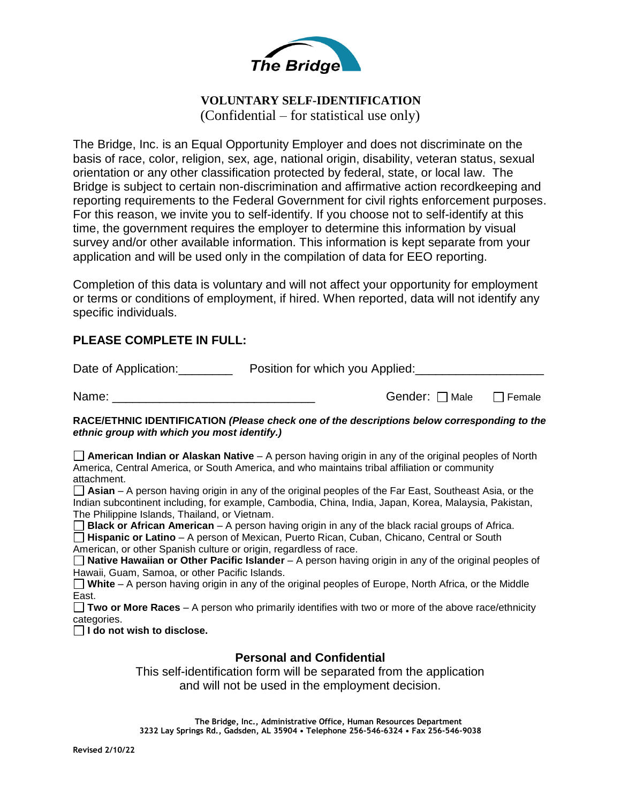

### **VOLUNTARY SELF-IDENTIFICATION** (Confidential – for statistical use only)

The Bridge, Inc. is an Equal Opportunity Employer and does not discriminate on the basis of race, color, religion, sex, age, national origin, disability, veteran status, sexual orientation or any other classification protected by federal, state, or local law. The Bridge is subject to certain non-discrimination and affirmative action recordkeeping and reporting requirements to the Federal Government for civil rights enforcement purposes. For this reason, we invite you to self-identify. If you choose not to self-identify at this time, the government requires the employer to determine this information by visual survey and/or other available information. This information is kept separate from your application and will be used only in the compilation of data for EEO reporting.

Completion of this data is voluntary and will not affect your opportunity for employment or terms or conditions of employment, if hired. When reported, data will not identify any specific individuals.

### **PLEASE COMPLETE IN FULL:**

| Date of Application: | Position for which you Applied: |  |
|----------------------|---------------------------------|--|
|----------------------|---------------------------------|--|

Name:  $\Box$  Female Female  $\Box$  Male  $\Box$  Female

**RACE/ETHNIC IDENTIFICATION** *(Please check one of the descriptions below corresponding to the ethnic group with which you most identify.)*

**American Indian or Alaskan Native** – A person having origin in any of the original peoples of North America, Central America, or South America, and who maintains tribal affiliation or community attachment.

**Asian** – A person having origin in any of the original peoples of the Far East, Southeast Asia, or the Indian subcontinent including, for example, Cambodia, China, India, Japan, Korea, Malaysia, Pakistan, The Philippine Islands, Thailand, or Vietnam.

**Black or African American** – A person having origin in any of the black racial groups of Africa.

**Hispanic or Latino** – A person of Mexican, Puerto Rican, Cuban, Chicano, Central or South American, or other Spanish culture or origin, regardless of race.

**Native Hawaiian or Other Pacific Islander** – A person having origin in any of the original peoples of Hawaii, Guam, Samoa, or other Pacific Islands.

**White** – A person having origin in any of the original peoples of Europe, North Africa, or the Middle East.

**Two or More Races** – A person who primarily identifies with two or more of the above race/ethnicity categories.

**I do not wish to disclose.**

### **Personal and Confidential**

This self-identification form will be separated from the application and will not be used in the employment decision.

**The Bridge, Inc., Administrative Office, Human Resources Department 3232 Lay Springs Rd., Gadsden, AL 35904 • Telephone 256-546-6324 • Fax 256-546-9038**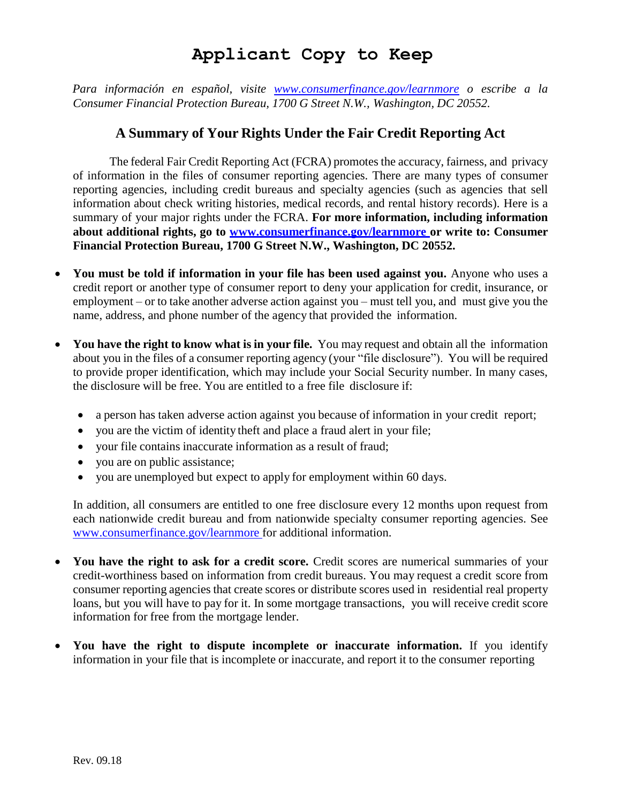# **Applicant Copy to Keep**

*Para información en español, visite [www.consumerfinance.gov/learnmore](http://www.consumerfinance.gov/learnmore) o escribe a la Consumer Financial Protection Bureau, 1700 G Street N.W., Washington, DC 20552.*

### **A Summary of Your Rights Under the Fair Credit Reporting Act**

The federal Fair Credit Reporting Act (FCRA) promotes the accuracy, fairness, and privacy of information in the files of consumer reporting agencies. There are many types of consumer reporting agencies, including credit bureaus and specialty agencies (such as agencies that sell information about check writing histories, medical records, and rental history records). Here is a summary of your major rights under the FCRA. **For more information, including information about additional rights, go to [www.consumerfinance.gov/learnmore o](http://www.consumerfinance.gov/learnmore)r write to: Consumer Financial Protection Bureau, 1700 G Street N.W., Washington, DC 20552.**

- **You must be told if information in your file has been used against you.** Anyone who uses a credit report or another type of consumer report to deny your application for credit, insurance, or employment – or to take another adverse action against you – must tell you, and must give you the name, address, and phone number of the agency that provided the information.
- **You have the right to know what is in your file.** You may request and obtain all the information about you in the files of a consumer reporting agency (your "file disclosure"). You will be required to provide proper identification, which may include your Social Security number. In many cases, the disclosure will be free. You are entitled to a free file disclosure if:
	- a person has taken adverse action against you because of information in your credit report;
	- you are the victim of identity theft and place a fraud alert in your file;
	- your file contains inaccurate information as a result of fraud;
	- you are on public assistance;
	- you are unemployed but expect to apply for employment within 60 days.

In addition, all consumers are entitled to one free disclosure every 12 months upon request from each nationwide credit bureau and from nationwide specialty consumer reporting agencies. See [www.consumerfinance.gov/learnmore](http://www.consumerfinance.gov/learnmore) for additional information.

- **You have the right to ask for a credit score.** Credit scores are numerical summaries of your credit-worthiness based on information from credit bureaus. You may request a credit score from consumer reporting agencies that create scores or distribute scores used in residential real property loans, but you will have to pay for it. In some mortgage transactions, you will receive credit score information for free from the mortgage lender.
- **You have the right to dispute incomplete or inaccurate information.** If you identify information in your file that is incomplete or inaccurate, and report it to the consumer reporting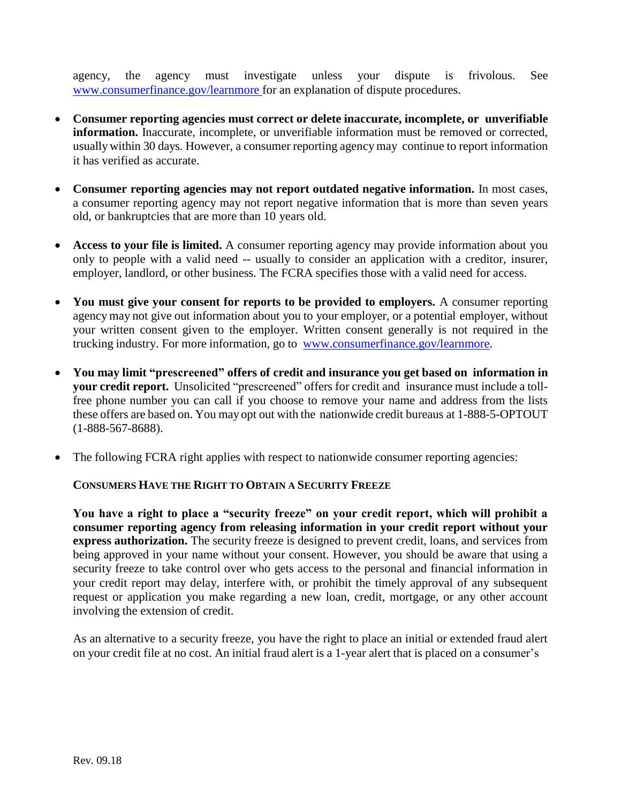agency, the agency must investigate unless your dispute is frivolous. See [www.consumerfinance.gov/learnmore](http://www.consumerfinance.gov/learnmore) for an explanation of dispute procedures.

- **Consumer reporting agencies must correct or delete inaccurate, incomplete, or unverifiable information.** Inaccurate, incomplete, or unverifiable information must be removed or corrected, usuallywithin 30 days. However, a consumer reporting agencymay continue to report information it has verified as accurate.
- **Consumer reporting agencies may not report outdated negative information.** In most cases, a consumer reporting agency may not report negative information that is more than seven years old, or bankruptcies that are more than 10 years old.
- **Access to your file is limited.** A consumer reporting agency may provide information about you only to people with a valid need -- usually to consider an application with a creditor, insurer, employer, landlord, or other business. The FCRA specifies those with a valid need for access.
- **You must give your consent for reports to be provided to employers.** A consumer reporting agency may not give out information about you to your employer, or a potential employer, without your written consent given to the employer. Written consent generally is not required in the trucking industry. For more information, go to [www.consumerfinance.gov/learnmore.](http://www.consumerfinance.gov/learnmore)
- **You may limit "prescreened" offers of credit and insurance you get based on information in your credit report.** Unsolicited "prescreened" offers for credit and insurance must include a tollfree phone number you can call if you choose to remove your name and address from the lists these offers are based on. You may opt out with the nationwide credit bureaus at 1-888-5-OPTOUT (1-888-567-8688).
- The following FCRA right applies with respect to nationwide consumer reporting agencies:

### **CONSUMERS HAVE THE RIGHT TO OBTAIN A SECURITY FREEZE**

**You have a right to place a "security freeze" on your credit report, which will prohibit a consumer reporting agency from releasing information in your credit report without your express authorization.** The security freeze is designed to prevent credit, loans, and services from being approved in your name without your consent. However, you should be aware that using a security freeze to take control over who gets access to the personal and financial information in your credit report may delay, interfere with, or prohibit the timely approval of any subsequent request or application you make regarding a new loan, credit, mortgage, or any other account involving the extension of credit.

As an alternative to a security freeze, you have the right to place an initial or extended fraud alert on your credit file at no cost. An initial fraud alert is a 1-year alert that is placed on a consumer's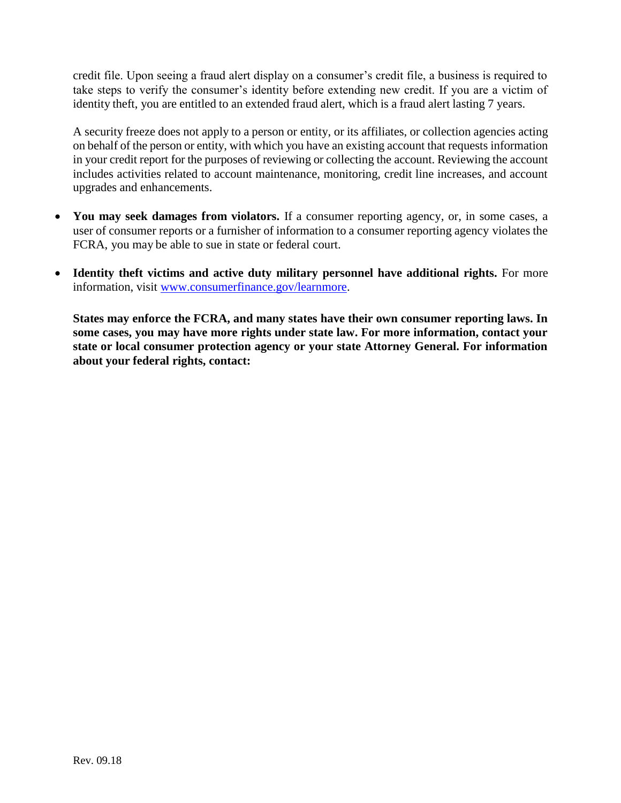credit file. Upon seeing a fraud alert display on a consumer's credit file, a business is required to take steps to verify the consumer's identity before extending new credit. If you are a victim of identity theft, you are entitled to an extended fraud alert, which is a fraud alert lasting 7 years.

A security freeze does not apply to a person or entity, or its affiliates, or collection agencies acting on behalf of the person or entity, with which you have an existing account that requests information in your credit report for the purposes of reviewing or collecting the account. Reviewing the account includes activities related to account maintenance, monitoring, credit line increases, and account upgrades and enhancements.

- **You may seek damages from violators.** If a consumer reporting agency, or, in some cases, a user of consumer reports or a furnisher of information to a consumer reporting agency violates the FCRA, you may be able to sue in state or federal court.
- **Identity theft victims and active duty military personnel have additional rights.** For more information, visit [www.consumerfinance.gov/learnmore.](http://www.consumerfinance.gov/learnmore)

**States may enforce the FCRA, and many states have their own consumer reporting laws. In some cases, you may have more rights under state law. For more information, contact your state or local consumer protection agency or your state Attorney General. For information about your federal rights, contact:**